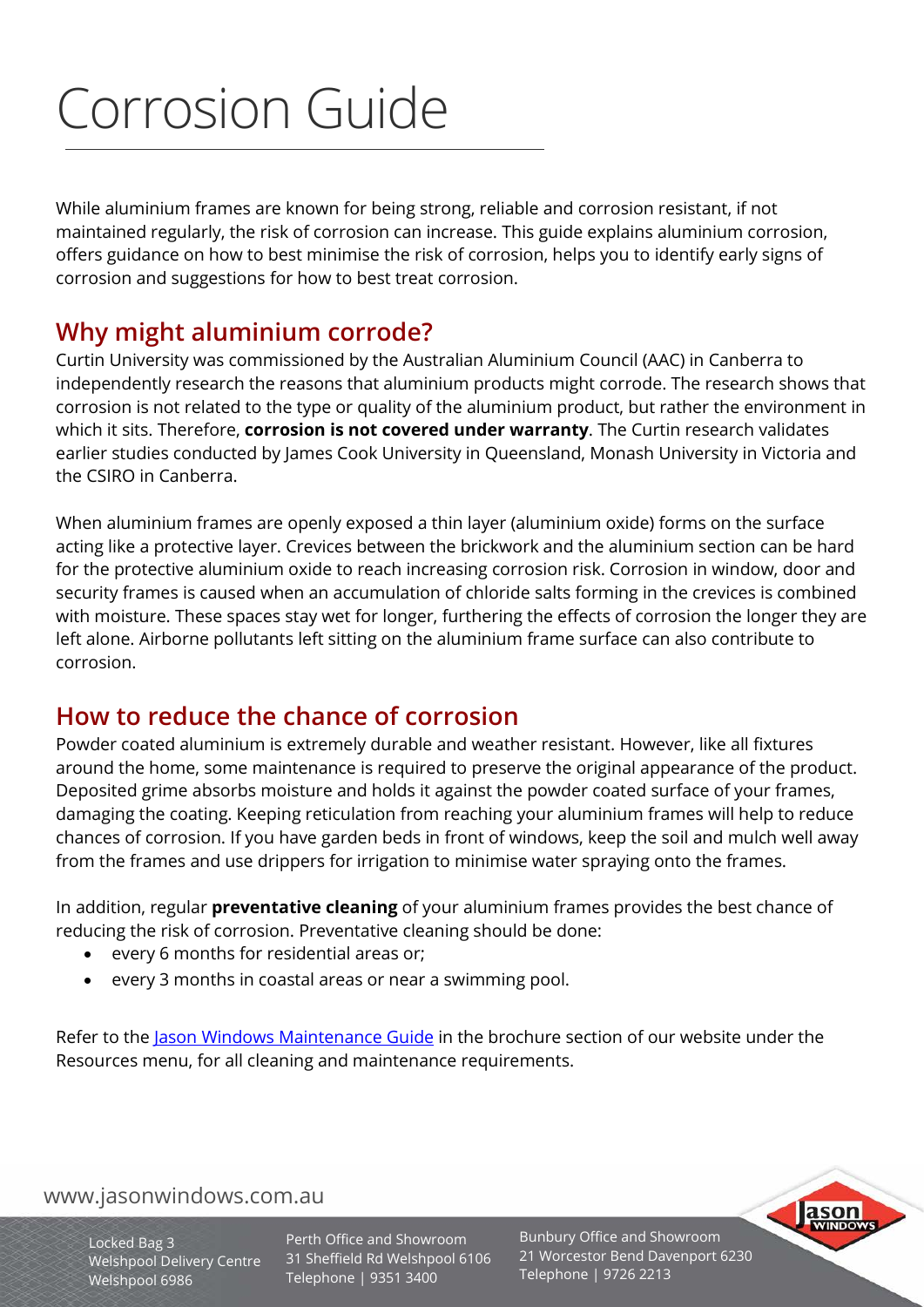# Corrosion Guide

While aluminium frames are known for being strong, reliable and corrosion resistant, if not maintained regularly, the risk of corrosion can increase. This guide explains aluminium corrosion, offers guidance on how to best minimise the risk of corrosion, helps you to identify early signs of corrosion and suggestions for how to best treat corrosion.

# **Why might aluminium corrode?**

Curtin University was commissioned by the Australian Aluminium Council (AAC) in Canberra to independently research the reasons that aluminium products might corrode. The research shows that corrosion is not related to the type or quality of the aluminium product, but rather the environment in which it sits. Therefore, **corrosion is not covered under warranty**. The Curtin research validates earlier studies conducted by James Cook University in Queensland, Monash University in Victoria and the CSIRO in Canberra.

corrosion. When aluminium frames are openly exposed a thin layer (aluminium oxide) forms on the surface acting like a protective layer. Crevices between the brickwork and the aluminium section can be hard for the protective aluminium oxide to reach increasing corrosion risk. Corrosion in window, door and security frames is caused when an accumulation of chloride salts forming in the crevices is combined with moisture. These spaces stay wet for longer, furthering the effects of corrosion the longer they are left alone. Airborne pollutants left sitting on the aluminium frame surface can also contribute to

#### Welshpool 6986 **How to reduce the chance of corrosion**

Powder coated aluminium is extremely durable and weather resistant. However, like all fixtures around the home, some maintenance is required to preserve the original appearance of the product. Deposited grime absorbs moisture and holds it against the powder coated surface of your frames, damaging the coating. Keeping reticulation from reaching your aluminium frames will help to reduce chances of corrosion. If you have garden beds in front of windows, keep the soil and mulch well away from the frames and use drippers for irrigation to minimise water spraying onto the frames.

In addition, regular **preventative cleaning** of your aluminium frames provides the best chance of reducing the risk of corrosion. Preventative cleaning should be done:

- every 6 months for residential areas or;
- every 3 months in coastal areas or near a swimming pool.

Refer to the [Jason Windows Maintenance Guide](https://jasonwindows.com.au/resources/brochures/#1531301744259-6224380b-c7b2) in the brochure section of our website under the Resources menu, for all cleaning and maintenance requirements.

## www.jasonwindows.com.au

Locked Bag 3 Welshpool Delivery Centre Welshpool 6986

Perth Office and Showroom 31 Sheffield Rd Welshpool 6106 Telephone | 9351 3400

Bunbury Office and Showroom 21 Worcestor Bend Davenport 6230 Telephone | 9726 2213

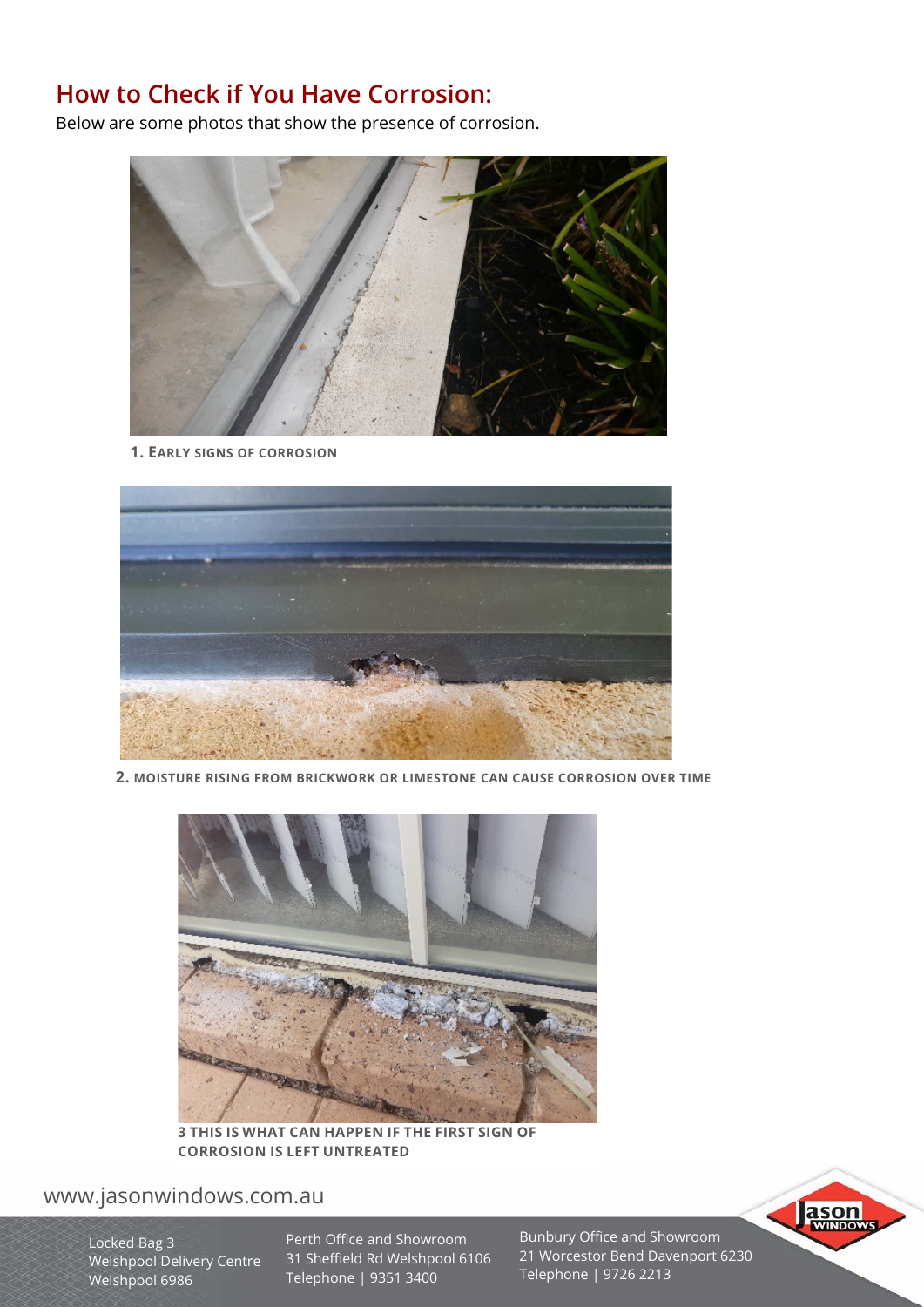## **How to Check if You Have Corrosion:**

Below are some photos that show the presence of corrosion.



**1. EARLY SIGNS OF CORROSION**



**2. MOISTURE RISING FROM BRICKWORK OR LIMESTONE CAN CAUSE CORROSION OVER TIME**



**3 THIS IS WHAT CAN HAPPEN IF THE FIRST SIGN OF CORROSION IS LEFT UNTREATED**

## www.jasonwindows.com.au

Locked Bag 3 Welshpool Delivery Centre Welshpool 6986

Perth Office and Showroom 31 Sheffield Rd Welshpool 6106 Telephone | 9351 3400

Bunbury Office and Showroom 21 Worcestor Bend Davenport 6230 Telephone | 9726 2213